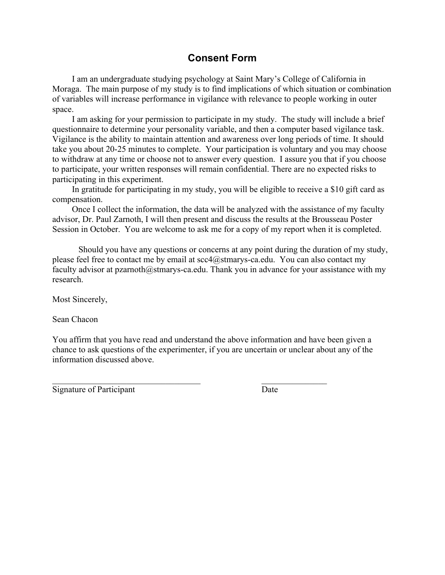# **Consent Form**

I am an undergraduate studying psychology at Saint Mary's College of California in Moraga. The main purpose of my study is to find implications of which situation or combination of variables will increase performance in vigilance with relevance to people working in outer space.

I am asking for your permission to participate in my study. The study will include a brief questionnaire to determine your personality variable, and then a computer based vigilance task. Vigilance is the ability to maintain attention and awareness over long periods of time. It should take you about 20-25 minutes to complete. Your participation is voluntary and you may choose to withdraw at any time or choose not to answer every question. I assure you that if you choose to participate, your written responses will remain confidential. There are no expected risks to participating in this experiment.

In gratitude for participating in my study, you will be eligible to receive a \$10 gift card as compensation.

Once I collect the information, the data will be analyzed with the assistance of my faculty advisor, Dr. Paul Zarnoth, I will then present and discuss the results at the Brousseau Poster Session in October. You are welcome to ask me for a copy of my report when it is completed.

Should you have any questions or concerns at any point during the duration of my study, please feel free to contact me by email at scc4@stmarys-ca.edu. You can also contact my faculty advisor at pzarnoth@stmarys-ca.edu. Thank you in advance for your assistance with my research.

Most Sincerely,

Sean Chacon

You affirm that you have read and understand the above information and have been given a chance to ask questions of the experimenter, if you are uncertain or unclear about any of the information discussed above.

\_\_\_\_\_\_\_\_\_\_\_\_\_\_\_\_\_\_\_\_\_\_\_\_\_\_\_\_\_\_\_\_\_\_ \_\_\_\_\_\_\_\_\_\_\_\_\_\_\_

Signature of Participant Date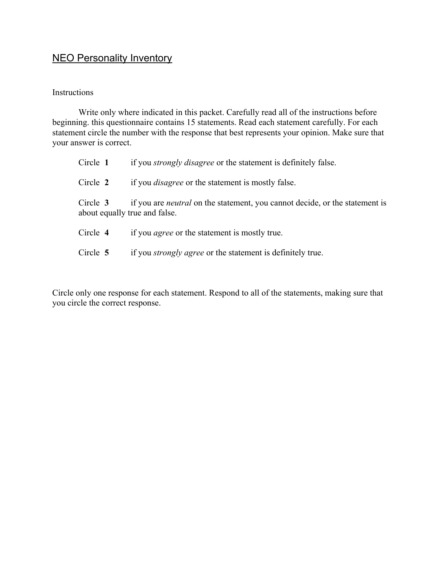# **NEO Personality Inventory**

#### Instructions

Write only where indicated in this packet. Carefully read all of the instructions before beginning. this questionnaire contains 15 statements. Read each statement carefully. For each statement circle the number with the response that best represents your opinion. Make sure that your answer is correct.

| Circle 1 | if you <i>strongly disagree</i> or the statement is definitely false.                                               |
|----------|---------------------------------------------------------------------------------------------------------------------|
| Circle 2 | if you <i>disagree</i> or the statement is mostly false.                                                            |
| Circle 3 | if you are <i>neutral</i> on the statement, you cannot decide, or the statement is<br>about equally true and false. |
| Circle 4 | if you <i>agree</i> or the statement is mostly true.                                                                |
| Circle 5 | if you <i>strongly agree</i> or the statement is definitely true.                                                   |

Circle only one response for each statement. Respond to all of the statements, making sure that you circle the correct response.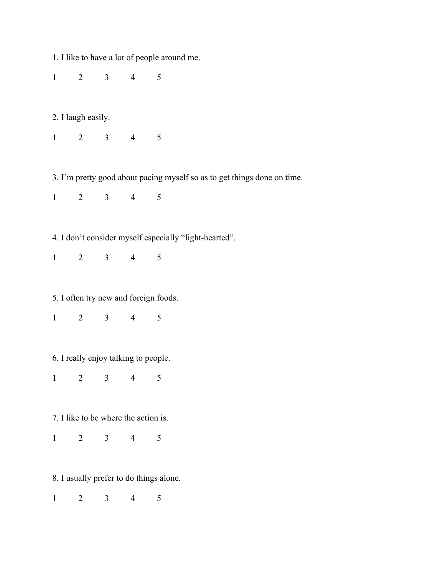1. I like to have a lot of people around me.

1 2 3 4 5

2. I laugh easily.

1 2 3 4 5

3. I'm pretty good about pacing myself so as to get things done on time.

1 2 3 4 5

4. I don't consider myself especially "light-hearted".

1 2 3 4 5

5. I often try new and foreign foods.

1 2 3 4 5

6. I really enjoy talking to people.

1 2 3 4 5

7. I like to be where the action is.

1 2 3 4 5

8. I usually prefer to do things alone.

1 2 3 4 5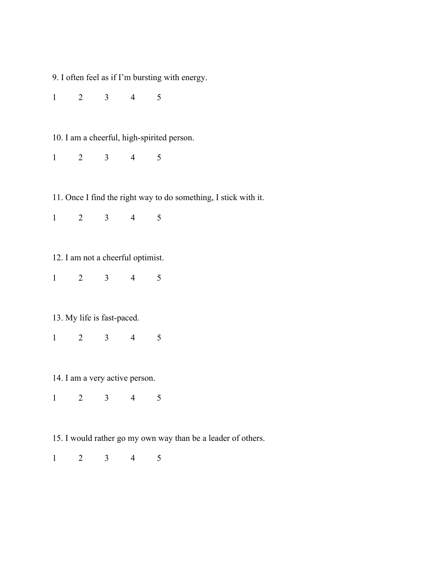9. I often feel as if I'm bursting with energy.

1 2 3 4 5

10. I am a cheerful, high-spirited person.

1 2 3 4 5

11. Once I find the right way to do something, I stick with it.

1 2 3 4 5

12. I am not a cheerful optimist.

1 2 3 4 5

13. My life is fast-paced.

1 2 3 4 5

14. I am a very active person.

1 2 3 4 5

15. I would rather go my own way than be a leader of others.

1 2 3 4 5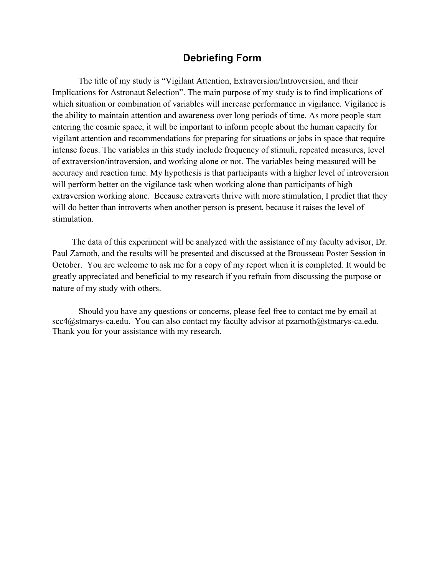### **Debriefing Form**

The title of my study is "Vigilant Attention, Extraversion/Introversion, and their Implications for Astronaut Selection". The main purpose of my study is to find implications of which situation or combination of variables will increase performance in vigilance. Vigilance is the ability to maintain attention and awareness over long periods of time. As more people start entering the cosmic space, it will be important to inform people about the human capacity for vigilant attention and recommendations for preparing for situations or jobs in space that require intense focus. The variables in this study include frequency of stimuli, repeated measures, level of extraversion/introversion, and working alone or not. The variables being measured will be accuracy and reaction time. My hypothesis is that participants with a higher level of introversion will perform better on the vigilance task when working alone than participants of high extraversion working alone. Because extraverts thrive with more stimulation, I predict that they will do better than introverts when another person is present, because it raises the level of stimulation.

The data of this experiment will be analyzed with the assistance of my faculty advisor, Dr. Paul Zarnoth, and the results will be presented and discussed at the Brousseau Poster Session in October. You are welcome to ask me for a copy of my report when it is completed. It would be greatly appreciated and beneficial to my research if you refrain from discussing the purpose or nature of my study with others.

Should you have any questions or concerns, please feel free to contact me by email at scc4@stmarys-ca.edu. You can also contact my faculty advisor at pzarnoth@stmarys-ca.edu. Thank you for your assistance with my research.